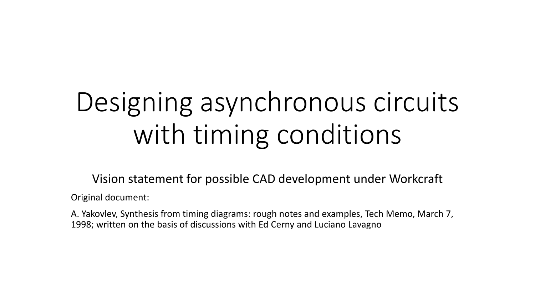# Designing asynchronous circuits with timing conditions

Vision statement for possible CAD development under Workcraft

Original document:

A. Yakovlev, Synthesis from timing diagrams: rough notes and examples, Tech Memo, March 7, 1998; written on the basis of discussions with Ed Cerny and Luciano Lavagno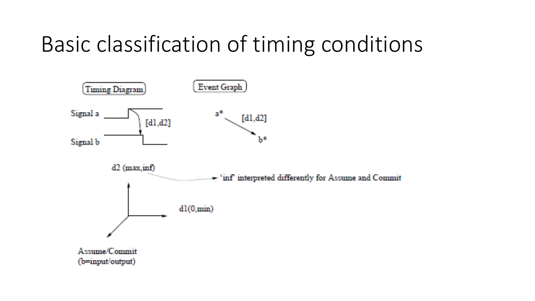### Basic classification of timing conditions

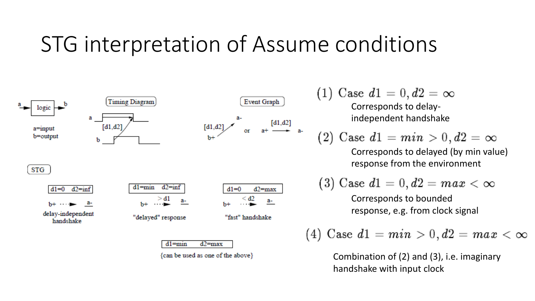### STG interpretation of Assume conditions

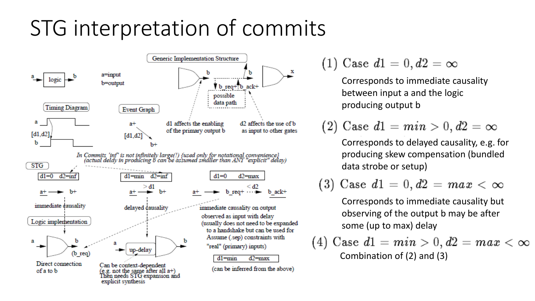### STG interpretation of commits



ь

delayed causality

up-delay

(e.g. not the same after all a+)<br>Then needs STG expansion and

Can be context-dependent

explicit synthesis

immediate dausality

Logic implementation

Direct connection

of a to b

b

 $(b$  req)

а

(1) Case  $d1 = 0, d2 = \infty$ 

Corresponds to immediate causality between input a and the logic producing output b

(2) Case  $d1 = min > 0, d2 = \infty$ 

Corresponds to delayed causality, e.g. for producing skew compensation (bundled data strobe or setup)

$$
(3) \ \ {\rm Case} \ \ d1\,=\,0, d2\,=\,max\,<\,\infty
$$

Corresponds to immediate causality but observing of the output b may be after some (up to max) delay

$$
(4) Case d1 = min > 0, d2 = max < \infty
$$
  
Combination of (2) and (3)

immediate causality on output observed as input with delay (usually does not need to be expanded to a handshake but can be used for Assume (.sep) constraints with "real" (primary) inputs)

> $d2 = max$  $dl = min$

(can be inferred from the above)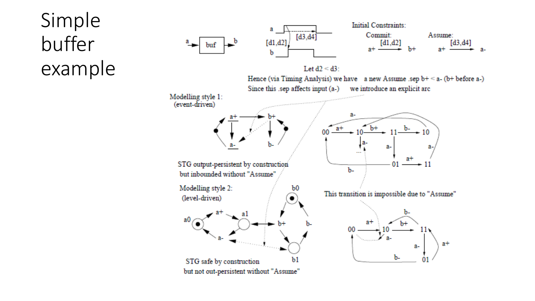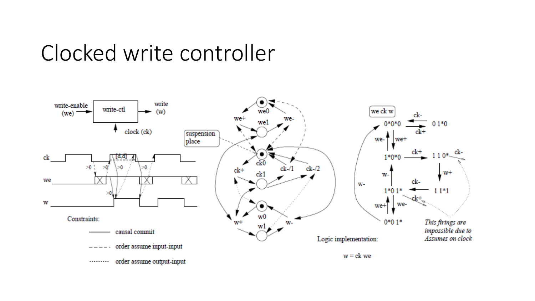### Clocked write controller

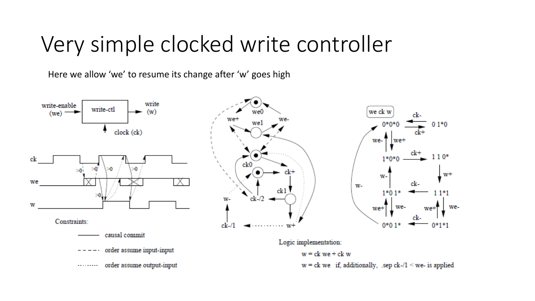### Very simple clocked write controller

Here we allow 'we' to resume its change after 'w' goes high

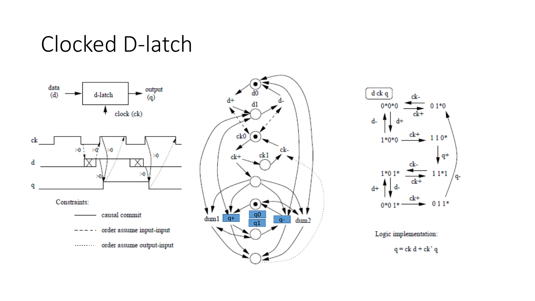### Clocked D-latch







 $\operatorname{Logic\; implementation:}$ 

 $q = ck d + ck' q$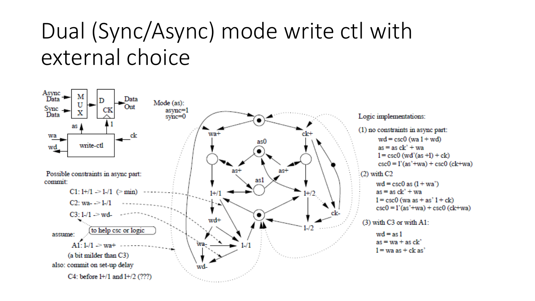### Dual (Sync/Async) mode write ctl with external choice

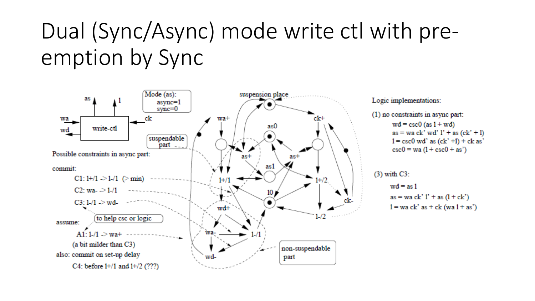## Dual (Sync/Async) mode write ctl with preemption by Sync



#### Logic implementations:

(1) no constraints in async part:  $wd = \csc 0$  (as  $1 + wd$ )  $as = wa ck' wd' 1' + as (ck' + 1)$  $1 = \csc 0$  wd' as  $(\csc' + 1) + \csc a$  $\csc 0 = \text{wa } (1 + \csc 0 + \text{as'})$ 

 $(3)$  with C3:

 $wd = as 1$  $as = wa ck' 1' + as (1 + ck')$  $1 = wa ck' as + ck (wa 1 + as')$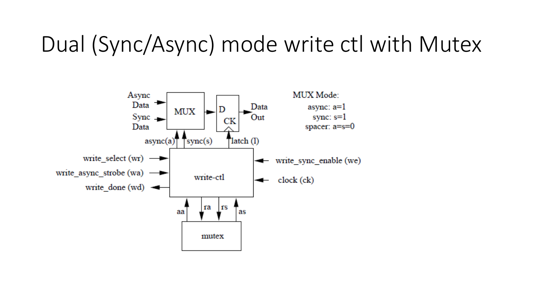### Dual (Sync/Async) mode write ctl with Mutex

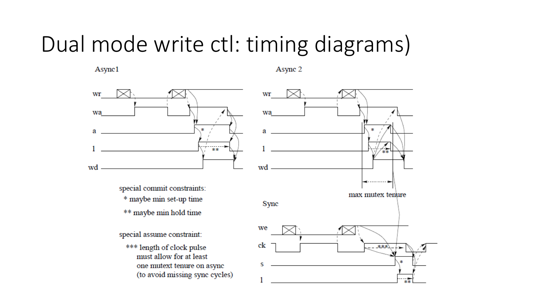### Dual mode write ctl: timing diagrams)

Async1

Async 2



special commit constraints: \* maybe min set-up time \*\* maybe min hold time

special assume constraint:

\*\*\* length of clock pulse must allow for at least one mutext tenure on async (to avoid missing sync cycles)

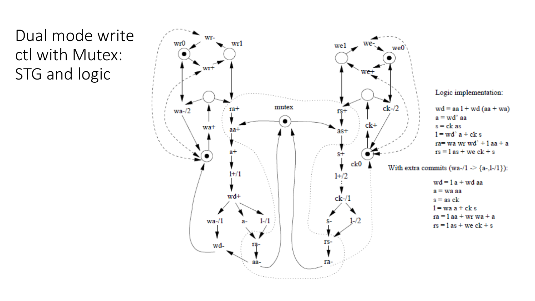Dual mode write ctl with Mutex: STG and logic

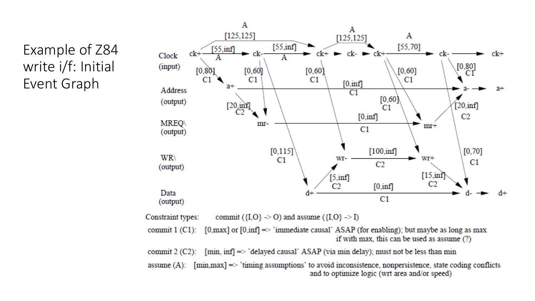### Example of Z84 write i/f: Initial Event Graph

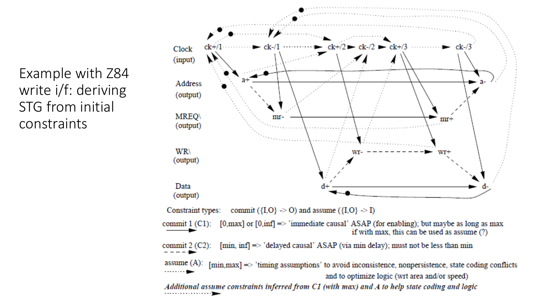Example with Z84 write i/f: deriving STG from initial constraints

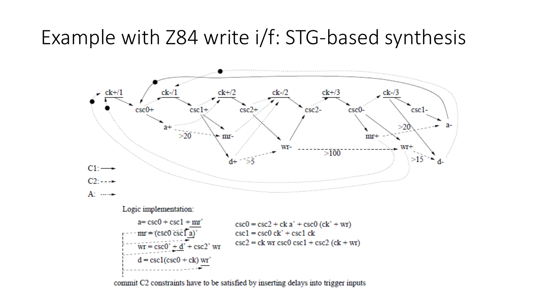### Example with Z84 write i/f: STG-based synthesis



commit C2 constraints have to be satisfied by inserting delays into trigger inputs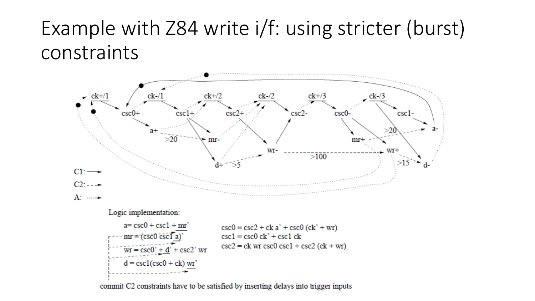### Example with Z84 write i/f: using stricter (burst) constraints



commit C2 constraints have to be satisfied by inserting delays into trigger inputs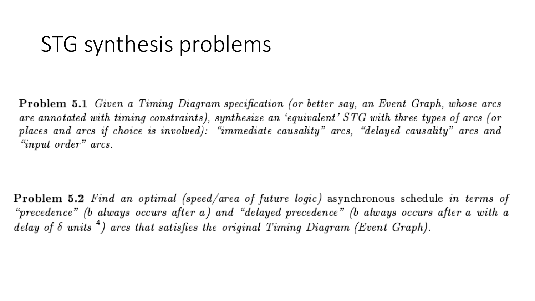### STG synthesis problems

**Problem 5.1** Given a Timing Diagram specification (or better say, an Event Graph, whose arcs are annotated with timing constraints), synthesize an 'equivalent' STG with three types of arcs (or places and arcs if choice is involved): "immediate causality" arcs, "delayed causality" arcs and "input order" arcs.

**Problem 5.2** Find an optimal (speed/area of future logic) asynchronous schedule in terms of "precedence" (b always occurs after a) and "delayed precedence" (b always occurs after a with a delay of  $\delta$  units  $\delta$ ) arcs that satisfies the original Timing Diagram (Event Graph).